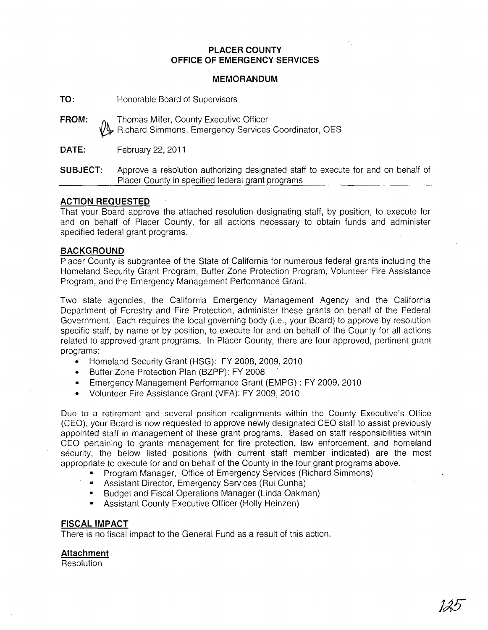## **PLACER COUNTY OFFICE OF EMERGENCY SERVICES**

### **MEMORANDUM**

**TO:** Honorable Board of Supervisors

**FROM: o.** Thomas Miller, County Executive Officer ~ Richard Simmons, Emergency Services Coordinator, OES

**DATE:** February 22, 2011

**SUBJECT:** Approve a resolution authorizing designated staff to execute for and on behalf of Placer County in specified federal grant programs

#### **ACTION REQUESTED**

That your Board approve the attached resolution designating staff, by position, to execute for and on behalf of Placer County, for all actions necessary to obtain funds and administer specified federal grant programs.

#### **BACKGROUND**

Placer County is subgrantee of the State of California for numerous federal grants including the Homeland Security Grant Program, Buffer Zone Protection Program, Volunteer Fire Assistance Program, and the Emergency Management Periormance Grant.

Two state agencies, the California Emergency Management Agency and the California Department of Forestry and Fire Protection, administer these grants on behalf of the Federal Government. Each requires the local governing body (i.e., your Board) to approve by resolution specific staff, by name or by position, to execute for and on behalf of the County for all actions related to approved grant programs. In Placer County, there are four approved, pertinent grant programs:

- Homeland Security Grant (HSG): FY 2008, 2009, 2010
- Buffer Zone Protection Plan (BZPP): FY 2008
- Emergency Management Performance Grant (EMPG) : FY 2009, 2010
- Volunteer Fire Assistance Grant (VFA): FY 2009, 2010

Due to a retirement and several position realignments within the County Executive's Office (CEO), your Board is now requested to approve newly designated CEO staff to assist previously appointed staff in management of these grant programs. Based on staff responsibilities within CEO pertaining to grants management for fire protection, law enforcement, and homeland security, the below listed positions (with current staff member indicated) are the most appropriate to execute for and on behalf of the County in the four grant programs above.

- Program Manager, Office of Emergency Services (Richard Simmons)
- **EXECTS:** Assistant Director, Emergency Services (Rui Cunha)
- Budget and Fiscal Operations Manager (Linda Oakman)
- Assistant County Executive Officer (Holly Heinzen)

### **FISCAL IMPACT**

There is no fiscal impact to the General Fund as a result of this action.

## **Attachment**

**Resolution**